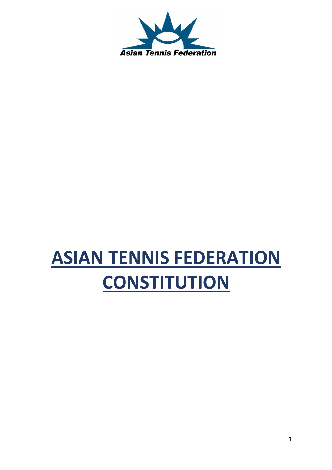

# **ASIAN TENNIS FEDERATION CONSTITUTION**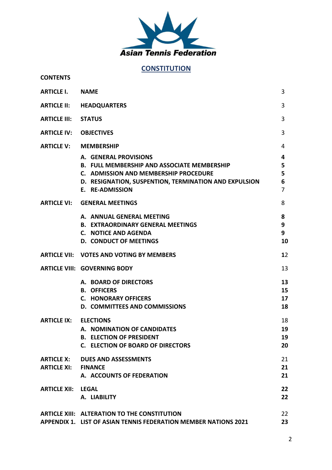

## **CONSTITUTION**

#### **CONTENTS**

| <b>ARTICLE I.</b>                       | <b>NAME</b>                                                                                                                                                                                      | 3                                  |
|-----------------------------------------|--------------------------------------------------------------------------------------------------------------------------------------------------------------------------------------------------|------------------------------------|
|                                         | <b>ARTICLE II: HEADQUARTERS</b>                                                                                                                                                                  | 3                                  |
| <b>ARTICLE III:</b>                     | <b>STATUS</b>                                                                                                                                                                                    | 3                                  |
| <b>ARTICLE IV:</b>                      | <b>OBJECTIVES</b>                                                                                                                                                                                | 3                                  |
|                                         | <b>ARTICLE V: MEMBERSHIP</b>                                                                                                                                                                     | 4                                  |
|                                         | A. GENERAL PROVISIONS<br><b>B. FULL MEMBERSHIP AND ASSOCIATE MEMBERSHIP</b><br>C. ADMISSION AND MEMBERSHIP PROCEDURE<br>D. RESIGNATION, SUSPENTION, TERMINATION AND EXPULSION<br>E. RE-ADMISSION | 4<br>5<br>5<br>6<br>$\overline{7}$ |
|                                         | <b>ARTICLE VI: GENERAL MEETINGS</b>                                                                                                                                                              | 8                                  |
|                                         | A. ANNUAL GENERAL MEETING<br><b>B. EXTRAORDINARY GENERAL MEETINGS</b><br>C. NOTICE AND AGENDA<br><b>D. CONDUCT OF MEETINGS</b>                                                                   | 8<br>9<br>9<br>10                  |
|                                         | ARTICLE VII: VOTES AND VOTING BY MEMBERS                                                                                                                                                         | 12                                 |
|                                         | <b>ARTICLE VIII: GOVERNING BODY</b>                                                                                                                                                              | 13                                 |
|                                         | A. BOARD OF DIRECTORS<br><b>B. OFFICERS</b><br><b>C. HONORARY OFFICERS</b><br>D. COMMITTEES AND COMMISSIONS                                                                                      | 13<br>15<br>17<br>18               |
| <b>ARTICLE IX: ELECTIONS</b>            | A. NOMINATION OF CANDIDATES<br><b>B. ELECTION OF PRESIDENT</b><br><b>C. ELECTION OF BOARD OF DIRECTORS</b>                                                                                       | 18<br>19<br>19<br>20               |
| <b>ARTICLE X:</b><br><b>ARTICLE XI:</b> | <b>DUES AND ASSESSMENTS</b><br><b>FINANCE</b><br>A. ACCOUNTS OF FEDERATION                                                                                                                       | 21<br>21<br>21                     |
| <b>ARTICLE XII:</b>                     | <b>LEGAL</b><br>A. LIABILITY                                                                                                                                                                     | 22<br>22                           |
|                                         | ARTICLE XIII: ALTERATION TO THE CONSTITUTION<br>APPENDIX 1. LIST OF ASIAN TENNIS FEDERATION MEMBER NATIONS 2021                                                                                  | 22<br>23                           |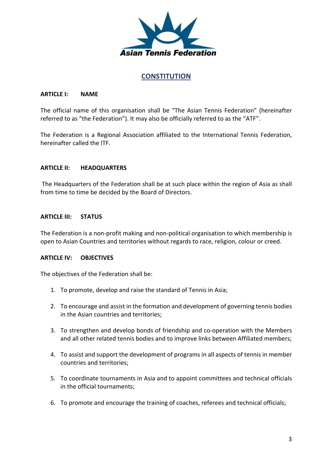

### **CONSTITUTION**

#### **ARTICLE I: NAME**

The official name of this organisation shall be "The Asian Tennis Federation" (hereinafter referred to as "the Federation"). It may also be officially referred to as the "ATF".

The Federation is a Regional Association affiliated to the International Tennis Federation, hereinafter called the ITF.

#### **ARTICLE II: HEADQUARTERS**

The Headquarters of the Federation shall be at such place within the region of Asia as shall from time to time be decided by the Board of Directors.

#### **ARTICLE III: STATUS**

The Federation is a non-profit making and non-political organisation to which membership is open to Asian Countries and territories without regards to race, religion, colour or creed.

#### **ARTICLE IV: OBJECTIVES**

The objectives of the Federation shall be:

- 1. To promote, develop and raise the standard of Tennis in Asia;
- 2. To encourage and assist in the formation and development of governing tennis bodies in the Asian countries and territories;
- 3. To strengthen and develop bonds of friendship and co-operation with the Members and all other related tennis bodies and to improve links between Affiliated members;
- 4. To assist and support the development of programs in all aspects of tennis in member countries and territories;
- 5. To coordinate tournaments in Asia and to appoint committees and technical officials in the official tournaments;
- 6. To promote and encourage the training of coaches, referees and technical officials;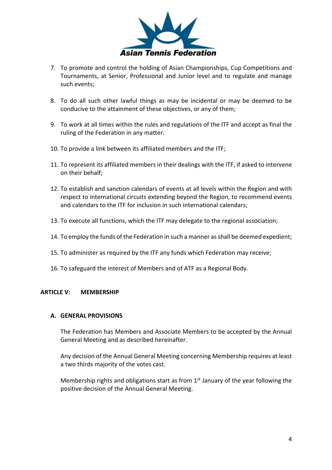

- 7. To promote and control the holding of Asian Championships, Cup Competitions and Tournaments, at Senior, Professional and Junior level and to regulate and manage such events;
- 8. To do all such other lawful things as may be incidental or may be deemed to be conducive to the attainment of these objectives, or any of them;
- 9. To work at all times within the rules and regulations of the ITF and accept as final the ruling of the Federation in any matter.
- 10. To provide a link between its affiliated members and the ITF;
- 11. To represent its affiliated members in their dealings with the ITF, if asked to intervene on their behalf;
- 12. To establish and sanction calendars of events at all levels within the Region and with respect to international circuits extending beyond the Region, to recommend events and calendars to the ITF for inclusion in such international calendars;
- 13. To execute all functions, which the ITF may delegate to the regional association;
- 14. To employ the funds of the Federation in such a manner as shall be deemed expedient;
- 15. To administer as required by the ITF any funds which Federation may receive;
- 16. To safeguard the interest of Members and of ATF as a Regional Body.

#### **ARTICLE V: MEMBERSHIP**

#### **A. GENERAL PROVISIONS**

The Federation has Members and Associate Members to be accepted by the Annual General Meeting and as described hereinafter.

Any decision of the Annual General Meeting concerning Membership requires at least a two thirds majority of the votes cast.

Membership rights and obligations start as from  $1<sup>st</sup>$  January of the year following the positive decision of the Annual General Meeting.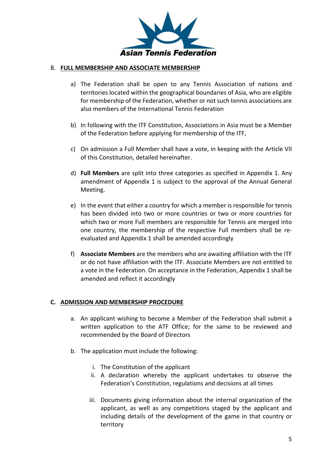

#### B. **FULL MEMBERSHIP AND ASSOCIATE MEMBERSHIP**

- a) The Federation shall be open to any Tennis Association of nations and territories located within the geographical boundaries of Asia, who are eligible for membership of the Federation, whether or not such tennis associations are also members of the International Tennis Federation
- b) In following with the ITF Constitution, Associations in Asia must be a Member of the Federation before applying for membership of the ITF,
- c) On admission a Full Member shall have a vote, in keeping with the Article VII of this Constitution, detailed hereinafter.
- d) **Full Members** are split into three categories as specified in Appendix 1. Any amendment of Appendix 1 is subject to the approval of the Annual General Meeting.
- e) In the event that either a country for which a member is responsible for tennis has been divided into two or more countries or two or more countries for which two or more Full members are responsible for Tennis are merged into one country, the membership of the respective Full members shall be reevaluated and Appendix 1 shall be amended accordingly
- f) **Associate Members** are the members who are awaiting affiliation with the ITF or do not have affiliation with the ITF. Associate Members are not entitled to a vote in the Federation. On acceptance in the Federation, Appendix 1 shall be amended and reflect it accordingly

#### **C. ADMISSION AND MEMBERSHIP PROCEDURE**

- a. An applicant wishing to become a Member of the Federation shall submit a written application to the ATF Office; for the same to be reviewed and recommended by the Board of Directors
- b. The application must include the following:
	- i. The Constitution of the applicant
	- ii. A declaration whereby the applicant undertakes to observe the Federation's Constitution, regulations and decisions at all times
	- iii. Documents giving information about the internal organization of the applicant, as well as any competitions staged by the applicant and including details of the development of the game in that country or territory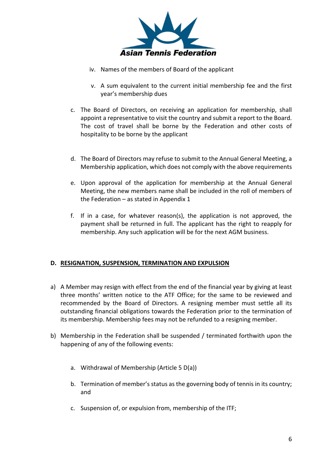

- iv. Names of the members of Board of the applicant
- v. A sum equivalent to the current initial membership fee and the first year's membership dues
- c. The Board of Directors, on receiving an application for membership, shall appoint a representative to visit the country and submit a report to the Board. The cost of travel shall be borne by the Federation and other costs of hospitality to be borne by the applicant
- d. The Board of Directors may refuse to submit to the Annual General Meeting, a Membership application, which does not comply with the above requirements
- e. Upon approval of the application for membership at the Annual General Meeting, the new members name shall be included in the roll of members of the Federation – as stated in Appendix 1
- f. If in a case, for whatever reason(s), the application is not approved, the payment shall be returned in full. The applicant has the right to reapply for membership. Any such application will be for the next AGM business.

#### **D. RESIGNATION, SUSPENSION, TERMINATION AND EXPULSION**

- a) A Member may resign with effect from the end of the financial year by giving at least three months' written notice to the ATF Office; for the same to be reviewed and recommended by the Board of Directors. A resigning member must settle all its outstanding financial obligations towards the Federation prior to the termination of its membership. Membership fees may not be refunded to a resigning member.
- b) Membership in the Federation shall be suspended / terminated forthwith upon the happening of any of the following events:
	- a. Withdrawal of Membership (Article 5 D(a))
	- b. Termination of member's status as the governing body of tennis in its country; and
	- c. Suspension of, or expulsion from, membership of the ITF;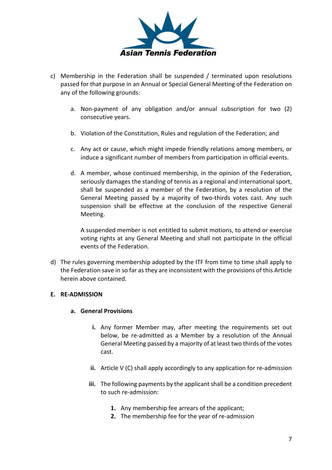

- c) Membership in the Federation shall be suspended / terminated upon resolutions passed for that purpose in an Annual or Special General Meeting of the Federation on any of the following grounds:
	- a. Non-payment of any obligation and/or annual subscription for two (2) consecutive years.
	- b. Violation of the Constitution, Rules and regulation of the Federation; and
	- c. Any act or cause, which might impede friendly relations among members, or induce a significant number of members from participation in official events.
	- d. A member, whose continued membership, in the opinion of the Federation, seriously damages the standing of tennis as a regional and international sport, shall be suspended as a member of the Federation, by a resolution of the General Meeting passed by a majority of two-thirds votes cast. Any such suspension shall be effective at the conclusion of the respective General Meeting.

A suspended member is not entitled to submit motions, to attend or exercise voting rights at any General Meeting and shall not participate in the official events of the Federation.

d) The rules governing membership adopted by the ITF from time to time shall apply to the Federation save in so far as they are inconsistent with the provisions of this Article herein above contained.

#### **E. RE-ADMISSION**

#### **a. General Provisions**

- **i.** Any former Member may, after meeting the requirements set out below, be re-admitted as a Member by a resolution of the Annual General Meeting passed by a majority of at least two thirds of the votes cast.
- **ii.** Article V (C) shall apply accordingly to any application for re-admission
- **iii.** The following payments by the applicant shall be a condition precedent to such re-admission:
	- **1.** Any membership fee arrears of the applicant;
	- **2.** The membership fee for the year of re-admission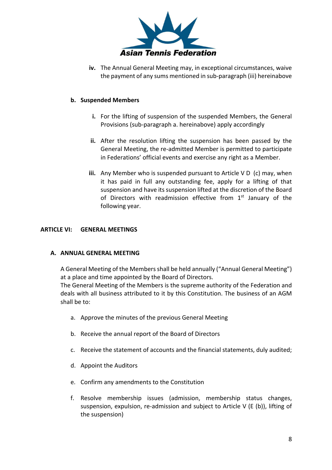

**iv.** The Annual General Meeting may, in exceptional circumstances, waive the payment of any sums mentioned in sub-paragraph (iii) hereinabove

#### **b. Suspended Members**

- **i.** For the lifting of suspension of the suspended Members, the General Provisions (sub-paragraph a. hereinabove) apply accordingly
- **ii.** After the resolution lifting the suspension has been passed by the General Meeting, the re-admitted Member is permitted to participate in Federations' official events and exercise any right as a Member.
- **iii.** Any Member who is suspended pursuant to Article V D (c) may, when it has paid in full any outstanding fee, apply for a lifting of that suspension and have its suspension lifted at the discretion of the Board of Directors with readmission effective from  $1<sup>st</sup>$  January of the following year.

#### **ARTICLE VI: GENERAL MEETINGS**

#### **A. ANNUAL GENERAL MEETING**

A General Meeting of the Members shall be held annually ("Annual General Meeting") at a place and time appointed by the Board of Directors.

The General Meeting of the Members is the supreme authority of the Federation and deals with all business attributed to it by this Constitution. The business of an AGM shall be to:

- a. Approve the minutes of the previous General Meeting
- b. Receive the annual report of the Board of Directors
- c. Receive the statement of accounts and the financial statements, duly audited;
- d. Appoint the Auditors
- e. Confirm any amendments to the Constitution
- f. Resolve membership issues (admission, membership status changes, suspension, expulsion, re-admission and subject to Article V (E (b)), lifting of the suspension)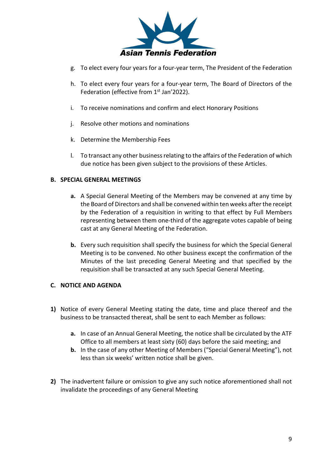

- g. To elect every four years for a four-year term, The President of the Federation
- h. To elect every four years for a four-year term, The Board of Directors of the Federation (effective from 1<sup>st</sup> Jan'2022).
- i. To receive nominations and confirm and elect Honorary Positions
- j. Resolve other motions and nominations
- k. Determine the Membership Fees
- l. To transact any other business relating to the affairs of the Federation of which due notice has been given subject to the provisions of these Articles.

#### **B. SPECIAL GENERAL MEETINGS**

- **a.** A Special General Meeting of the Members may be convened at any time by the Board of Directors and shall be convened within ten weeks after the receipt by the Federation of a requisition in writing to that effect by Full Members representing between them one-third of the aggregate votes capable of being cast at any General Meeting of the Federation.
- **b.** Every such requisition shall specify the business for which the Special General Meeting is to be convened. No other business except the confirmation of the Minutes of the last preceding General Meeting and that specified by the requisition shall be transacted at any such Special General Meeting.

#### **C. NOTICE AND AGENDA**

- **1)** Notice of every General Meeting stating the date, time and place thereof and the business to be transacted thereat, shall be sent to each Member as follows:
	- **a.** In case of an Annual General Meeting, the notice shall be circulated by the ATF Office to all members at least sixty (60) days before the said meeting; and
	- **b.** In the case of any other Meeting of Members ("Special General Meeting"), not less than six weeks' written notice shall be given.
- **2)** The inadvertent failure or omission to give any such notice aforementioned shall not invalidate the proceedings of any General Meeting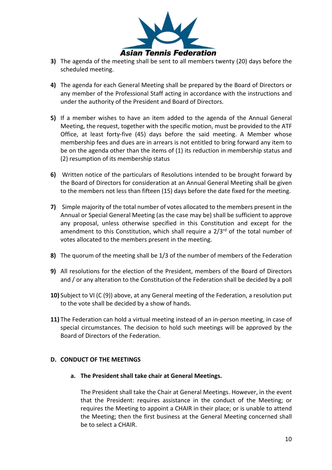

- **3)** The agenda of the meeting shall be sent to all members twenty (20) days before the scheduled meeting.
- **4)** The agenda for each General Meeting shall be prepared by the Board of Directors or any member of the Professional Staff acting in accordance with the instructions and under the authority of the President and Board of Directors.
- **5)** If a member wishes to have an item added to the agenda of the Annual General Meeting, the request, together with the specific motion, must be provided to the ATF Office, at least forty-five (45) days before the said meeting. A Member whose membership fees and dues are in arrears is not entitled to bring forward any item to be on the agenda other than the items of (1) its reduction in membership status and (2) resumption of its membership status
- **6)** Written notice of the particulars of Resolutions intended to be brought forward by the Board of Directors for consideration at an Annual General Meeting shall be given to the members not less than fifteen (15) days before the date fixed for the meeting.
- **7)** Simple majority of the total number of votes allocated to the members present in the Annual or Special General Meeting (as the case may be) shall be sufficient to approve any proposal, unless otherwise specified in this Constitution and except for the amendment to this Constitution, which shall require a  $2/3<sup>rd</sup>$  of the total number of votes allocated to the members present in the meeting.
- **8)** The quorum of the meeting shall be 1/3 of the number of members of the Federation
- **9)** All resolutions for the election of the President, members of the Board of Directors and / or any alteration to the Constitution of the Federation shall be decided by a poll
- **10)** Subject to VI (C (9)) above, at any General meeting of the Federation, a resolution put to the vote shall be decided by a show of hands.
- **11)** The Federation can hold a virtual meeting instead of an in-person meeting, in case of special circumstances. The decision to hold such meetings will be approved by the Board of Directors of the Federation.

#### **D. CONDUCT OF THE MEETINGS**

**a. The President shall take chair at General Meetings.** 

The President shall take the Chair at General Meetings. However, in the event that the President: requires assistance in the conduct of the Meeting; or requires the Meeting to appoint a CHAIR in their place; or is unable to attend the Meeting; then the first business at the General Meeting concerned shall be to select a CHAIR.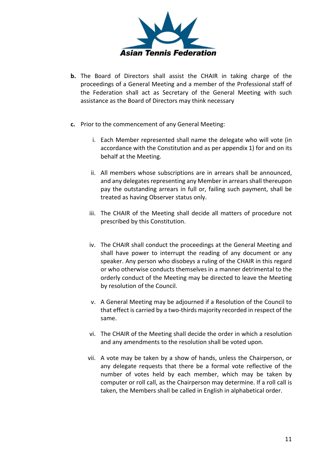

- **b.** The Board of Directors shall assist the CHAIR in taking charge of the proceedings of a General Meeting and a member of the Professional staff of the Federation shall act as Secretary of the General Meeting with such assistance as the Board of Directors may think necessary
- **c.** Prior to the commencement of any General Meeting:
	- i. Each Member represented shall name the delegate who will vote (in accordance with the Constitution and as per appendix 1) for and on its behalf at the Meeting.
	- ii. All members whose subscriptions are in arrears shall be announced, and any delegates representing any Member in arrears shall thereupon pay the outstanding arrears in full or, failing such payment, shall be treated as having Observer status only.
	- iii. The CHAIR of the Meeting shall decide all matters of procedure not prescribed by this Constitution.
	- iv. The CHAIR shall conduct the proceedings at the General Meeting and shall have power to interrupt the reading of any document or any speaker. Any person who disobeys a ruling of the CHAIR in this regard or who otherwise conducts themselves in a manner detrimental to the orderly conduct of the Meeting may be directed to leave the Meeting by resolution of the Council.
	- v. A General Meeting may be adjourned if a Resolution of the Council to that effect is carried by a two-thirds majority recorded in respect of the same.
	- vi. The CHAIR of the Meeting shall decide the order in which a resolution and any amendments to the resolution shall be voted upon.
	- vii. A vote may be taken by a show of hands, unless the Chairperson, or any delegate requests that there be a formal vote reflective of the number of votes held by each member, which may be taken by computer or roll call, as the Chairperson may determine. If a roll call is taken, the Members shall be called in English in alphabetical order.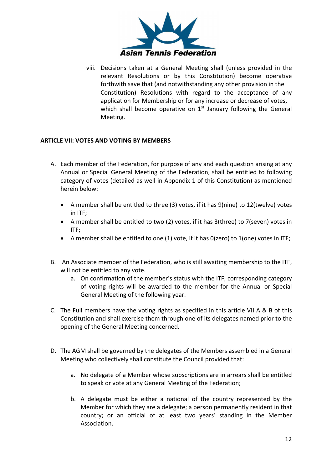

viii. Decisions taken at a General Meeting shall (unless provided in the relevant Resolutions or by this Constitution) become operative forthwith save that (and notwithstanding any other provision in the Constitution) Resolutions with regard to the acceptance of any application for Membership or for any increase or decrease of votes, which shall become operative on  $1<sup>st</sup>$  January following the General Meeting.

#### **ARTICLE VII: VOTES AND VOTING BY MEMBERS**

- A. Each member of the Federation, for purpose of any and each question arising at any Annual or Special General Meeting of the Federation, shall be entitled to following category of votes (detailed as well in Appendix 1 of this Constitution) as mentioned herein below:
	- A member shall be entitled to three (3) votes, if it has 9(nine) to 12(twelve) votes in ITF;
	- A member shall be entitled to two (2) votes, if it has 3(three) to 7(seven) votes in ITF;
	- A member shall be entitled to one (1) vote, if it has 0(zero) to 1(one) votes in ITF;
- B. An Associate member of the Federation, who is still awaiting membership to the ITF, will not be entitled to any vote.
	- a. On confirmation of the member's status with the ITF, corresponding category of voting rights will be awarded to the member for the Annual or Special General Meeting of the following year.
- C. The Full members have the voting rights as specified in this article VII A & B of this Constitution and shall exercise them through one of its delegates named prior to the opening of the General Meeting concerned.
- D. The AGM shall be governed by the delegates of the Members assembled in a General Meeting who collectively shall constitute the Council provided that:
	- a. No delegate of a Member whose subscriptions are in arrears shall be entitled to speak or vote at any General Meeting of the Federation;
	- b. A delegate must be either a national of the country represented by the Member for which they are a delegate; a person permanently resident in that country; or an official of at least two years' standing in the Member Association.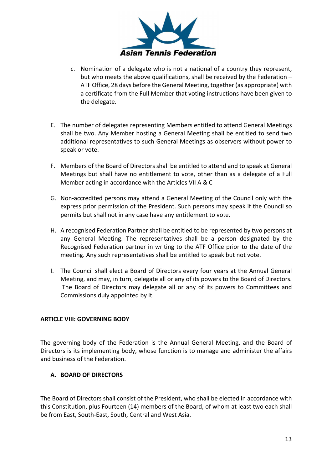

- c. Nomination of a delegate who is not a national of a country they represent, but who meets the above qualifications, shall be received by the Federation – ATF Office, 28 days before the General Meeting, together (as appropriate) with a certificate from the Full Member that voting instructions have been given to the delegate.
- E. The number of delegates representing Members entitled to attend General Meetings shall be two. Any Member hosting a General Meeting shall be entitled to send two additional representatives to such General Meetings as observers without power to speak or vote.
- F. Members of the Board of Directors shall be entitled to attend and to speak at General Meetings but shall have no entitlement to vote, other than as a delegate of a Full Member acting in accordance with the Articles VII A & C
- G. Non-accredited persons may attend a General Meeting of the Council only with the express prior permission of the President. Such persons may speak if the Council so permits but shall not in any case have any entitlement to vote.
- H. A recognised Federation Partner shall be entitled to be represented by two persons at any General Meeting. The representatives shall be a person designated by the Recognised Federation partner in writing to the ATF Office prior to the date of the meeting. Any such representatives shall be entitled to speak but not vote.
- I. The Council shall elect a Board of Directors every four years at the Annual General Meeting, and may, in turn, delegate all or any of its powers to the Board of Directors. The Board of Directors may delegate all or any of its powers to Committees and Commissions duly appointed by it.

#### **ARTICLE VIII: GOVERNING BODY**

The governing body of the Federation is the Annual General Meeting, and the Board of Directors is its implementing body, whose function is to manage and administer the affairs and business of the Federation.

#### **A. BOARD OF DIRECTORS**

The Board of Directors shall consist of the President, who shall be elected in accordance with this Constitution, plus Fourteen (14) members of the Board, of whom at least two each shall be from East, South-East, South, Central and West Asia.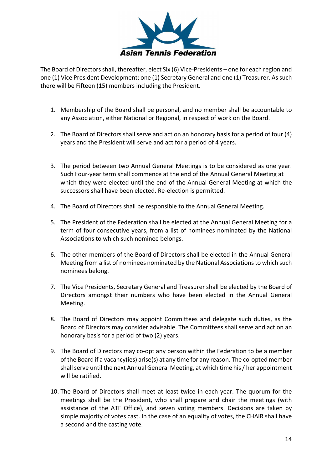

The Board of Directors shall, thereafter, elect Six (6) Vice-Presidents – one for each region and one (1) Vice President Development; one (1) Secretary General and one (1) Treasurer. As such there will be Fifteen (15) members including the President.

- 1. Membership of the Board shall be personal, and no member shall be accountable to any Association, either National or Regional, in respect of work on the Board.
- 2. The Board of Directors shall serve and act on an honorary basis for a period of four (4) years and the President will serve and act for a period of 4 years.
- 3. The period between two Annual General Meetings is to be considered as one year. Such Four-year term shall commence at the end of the Annual General Meeting at which they were elected until the end of the Annual General Meeting at which the successors shall have been elected. Re-election is permitted.
- 4. The Board of Directors shall be responsible to the Annual General Meeting.
- 5. The President of the Federation shall be elected at the Annual General Meeting for a term of four consecutive years, from a list of nominees nominated by the National Associations to which such nominee belongs.
- 6. The other members of the Board of Directors shall be elected in the Annual General Meeting from a list of nominees nominated by the National Associations to which such nominees belong.
- 7. The Vice Presidents, Secretary General and Treasurer shall be elected by the Board of Directors amongst their numbers who have been elected in the Annual General Meeting.
- 8. The Board of Directors may appoint Committees and delegate such duties, as the Board of Directors may consider advisable. The Committees shall serve and act on an honorary basis for a period of two (2) years.
- 9. The Board of Directors may co-opt any person within the Federation to be a member of the Board if a vacancy(ies) arise(s) at any time for any reason. The co-opted member shall serve until the next Annual General Meeting, at which time his / her appointment will be ratified.
- 10. The Board of Directors shall meet at least twice in each year. The quorum for the meetings shall be the President, who shall prepare and chair the meetings (with assistance of the ATF Office), and seven voting members. Decisions are taken by simple majority of votes cast. In the case of an equality of votes, the CHAIR shall have a second and the casting vote.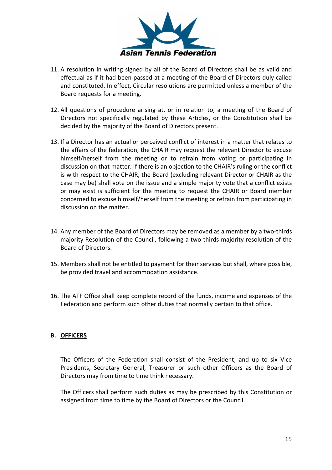

- 11. A resolution in writing signed by all of the Board of Directors shall be as valid and effectual as if it had been passed at a meeting of the Board of Directors duly called and constituted. In effect, Circular resolutions are permitted unless a member of the Board requests for a meeting.
- 12. All questions of procedure arising at, or in relation to, a meeting of the Board of Directors not specifically regulated by these Articles, or the Constitution shall be decided by the majority of the Board of Directors present.
- 13. If a Director has an actual or perceived conflict of interest in a matter that relates to the affairs of the federation, the CHAIR may request the relevant Director to excuse himself/herself from the meeting or to refrain from voting or participating in discussion on that matter. If there is an objection to the CHAIR's ruling or the conflict is with respect to the CHAIR, the Board (excluding relevant Director or CHAIR as the case may be) shall vote on the issue and a simple majority vote that a conflict exists or may exist is sufficient for the meeting to request the CHAIR or Board member concerned to excuse himself/herself from the meeting or refrain from participating in discussion on the matter.
- 14. Any member of the Board of Directors may be removed as a member by a two-thirds majority Resolution of the Council, following a two-thirds majority resolution of the Board of Directors.
- 15. Members shall not be entitled to payment for their services but shall, where possible, be provided travel and accommodation assistance.
- 16. The ATF Office shall keep complete record of the funds, income and expenses of the Federation and perform such other duties that normally pertain to that office.

#### **B. OFFICERS**

The Officers of the Federation shall consist of the President; and up to six Vice Presidents, Secretary General, Treasurer or such other Officers as the Board of Directors may from time to time think necessary.

The Officers shall perform such duties as may be prescribed by this Constitution or assigned from time to time by the Board of Directors or the Council.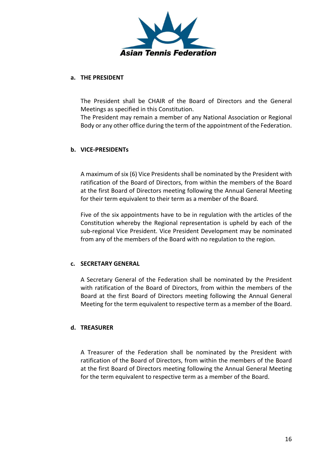

#### **a. THE PRESIDENT**

The President shall be CHAIR of the Board of Directors and the General Meetings as specified in this Constitution.

The President may remain a member of any National Association or Regional Body or any other office during the term of the appointment of the Federation.

#### **b. VICE-PRESIDENTs**

A maximum of six (6) Vice Presidents shall be nominated by the President with ratification of the Board of Directors, from within the members of the Board at the first Board of Directors meeting following the Annual General Meeting for their term equivalent to their term as a member of the Board.

Five of the six appointments have to be in regulation with the articles of the Constitution whereby the Regional representation is upheld by each of the sub-regional Vice President. Vice President Development may be nominated from any of the members of the Board with no regulation to the region.

#### **c. SECRETARY GENERAL**

A Secretary General of the Federation shall be nominated by the President with ratification of the Board of Directors, from within the members of the Board at the first Board of Directors meeting following the Annual General Meeting for the term equivalent to respective term as a member of the Board.

#### **d. TREASURER**

A Treasurer of the Federation shall be nominated by the President with ratification of the Board of Directors, from within the members of the Board at the first Board of Directors meeting following the Annual General Meeting for the term equivalent to respective term as a member of the Board.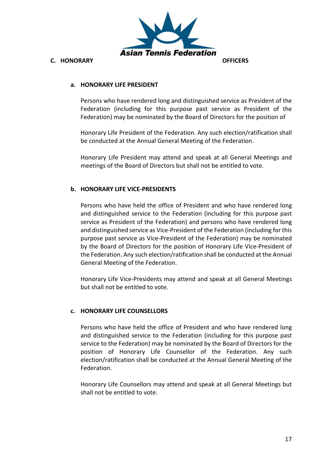

#### **a. HONORARY LIFE PRESIDENT**

Persons who have rendered long and distinguished service as President of the Federation (including for this purpose past service as President of the Federation) may be nominated by the Board of Directors for the position of

Honorary Life President of the Federation. Any such election/ratification shall be conducted at the Annual General Meeting of the Federation.

Honorary Life President may attend and speak at all General Meetings and meetings of the Board of Directors but shall not be entitled to vote.

#### **b. HONORARY LIFE VICE-PRESIDENTS**

Persons who have held the office of President and who have rendered long and distinguished service to the Federation (including for this purpose past service as President of the Federation) and persons who have rendered long and distinguished service as Vice-President of the Federation (including for this purpose past service as Vice-President of the Federation) may be nominated by the Board of Directors for the position of Honorary Life Vice-President of the Federation. Any such election/ratification shall be conducted at the Annual General Meeting of the Federation.

Honorary Life Vice-Presidents may attend and speak at all General Meetings but shall not be entitled to vote.

#### **c. HONORARY LIFE COUNSELLORS**

Persons who have held the office of President and who have rendered long and distinguished service to the Federation (including for this purpose past service to the Federation) may be nominated by the Board of Directors for the position of Honorary Life Counsellor of the Federation. Any such election/ratification shall be conducted at the Annual General Meeting of the Federation.

Honorary Life Counsellors may attend and speak at all General Meetings but shall not be entitled to vote.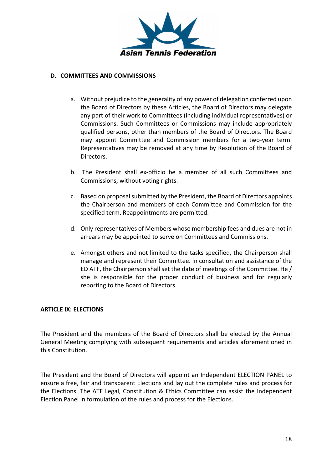

#### **D. COMMITTEES AND COMMISSIONS**

- a. Without prejudice to the generality of any power of delegation conferred upon the Board of Directors by these Articles, the Board of Directors may delegate any part of their work to Committees (including individual representatives) or Commissions. Such Committees or Commissions may include appropriately qualified persons, other than members of the Board of Directors. The Board may appoint Committee and Commission members for a two-year term. Representatives may be removed at any time by Resolution of the Board of Directors.
- b. The President shall ex-officio be a member of all such Committees and Commissions, without voting rights.
- c. Based on proposal submitted by the President, the Board of Directors appoints the Chairperson and members of each Committee and Commission for the specified term. Reappointments are permitted.
- d. Only representatives of Members whose membership fees and dues are not in arrears may be appointed to serve on Committees and Commissions.
- e. Amongst others and not limited to the tasks specified, the Chairperson shall manage and represent their Committee. In consultation and assistance of the ED ATF, the Chairperson shall set the date of meetings of the Committee. He / she is responsible for the proper conduct of business and for regularly reporting to the Board of Directors.

#### **ARTICLE IX: ELECTIONS**

The President and the members of the Board of Directors shall be elected by the Annual General Meeting complying with subsequent requirements and articles aforementioned in this Constitution.

The President and the Board of Directors will appoint an Independent ELECTION PANEL to ensure a free, fair and transparent Elections and lay out the complete rules and process for the Elections. The ATF Legal, Constitution & Ethics Committee can assist the Independent Election Panel in formulation of the rules and process for the Elections.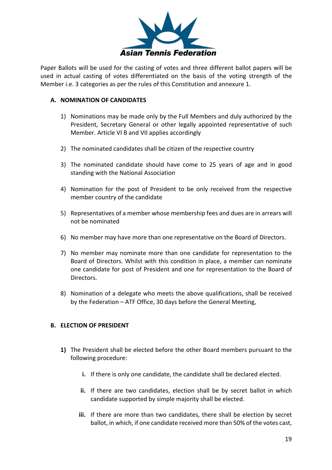

Paper Ballots will be used for the casting of votes and three different ballot papers will be used in actual casting of votes differentiated on the basis of the voting strength of the Member i.e. 3 categories as per the rules of this Constitution and annexure 1.

#### **A. NOMINATION OF CANDIDATES**

- 1) Nominations may be made only by the Full Members and duly authorized by the President, Secretary General or other legally appointed representative of such Member. Article VI B and VII applies accordingly
- 2) The nominated candidates shall be citizen of the respective country
- 3) The nominated candidate should have come to 25 years of age and in good standing with the National Association
- 4) Nomination for the post of President to be only received from the respective member country of the candidate
- 5) Representatives of a member whose membership fees and dues are in arrears will not be nominated
- 6) No member may have more than one representative on the Board of Directors.
- 7) No member may nominate more than one candidate for representation to the Board of Directors. Whilst with this condition in place, a member can nominate one candidate for post of President and one for representation to the Board of Directors.
- 8) Nomination of a delegate who meets the above qualifications, shall be received by the Federation – ATF Office, 30 days before the General Meeting,

#### **B. ELECTION OF PRESIDENT**

- **1)** The President shall be elected before the other Board members pursuant to the following procedure:
	- **i.** If there is only one candidate, the candidate shall be declared elected.
	- **ii.** If there are two candidates, election shall be by secret ballot in which candidate supported by simple majority shall be elected.
	- **iii.** If there are more than two candidates, there shall be election by secret ballot, in which, if one candidate received more than 50% of the votes cast,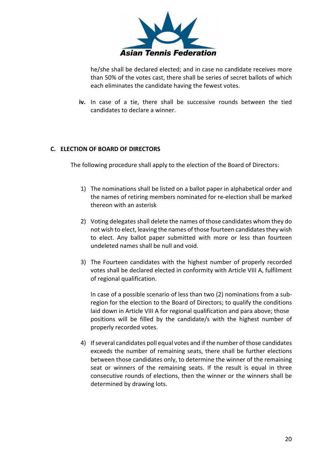

he/she shall be declared elected; and in case no candidate receives more than 50% of the votes cast, there shall be series of secret ballots of which each eliminates the candidate having the fewest votes.

**iv.** In case of a tie, there shall be successive rounds between the tied candidates to declare a winner.

#### **C. ELECTION OF BOARD OF DIRECTORS**

The following procedure shall apply to the election of the Board of Directors:

- 1) The nominations shall be listed on a ballot paper in alphabetical order and the names of retiring members nominated for re-election shall be marked thereon with an asterisk
- 2) Voting delegates shall delete the names of those candidates whom they do not wish to elect, leaving the names of those fourteen candidates they wish to elect. Any ballot paper submitted with more or less than fourteen undeleted names shall be null and void.
- 3) The Fourteen candidates with the highest number of properly recorded votes shall be declared elected in conformity with Article VIII A, fulfilment of regional qualification.

In case of a possible scenario of less than two (2) nominations from a subregion for the election to the Board of Directors; to qualify the conditions laid down in Article VIII A for regional qualification and para above; those positions will be filled by the candidate/s with the highest number of properly recorded votes.

4) If several candidates poll equal votes and if the number of those candidates exceeds the number of remaining seats, there shall be further elections between those candidates only, to determine the winner of the remaining seat or winners of the remaining seats. If the result is equal in three consecutive rounds of elections, then the winner or the winners shall be determined by drawing lots.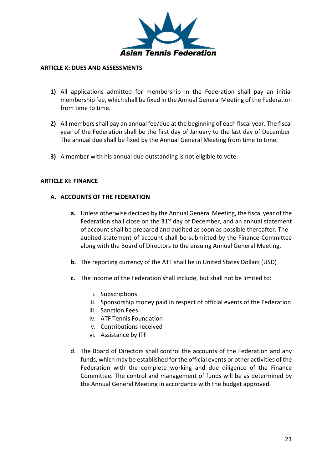

#### **ARTICLE X: DUES AND ASSESSMENTS**

- **1)** All applications admitted for membership in the Federation shall pay an initial membership fee, which shall be fixed in the Annual General Meeting of the Federation from time to time.
- **2)** All members shall pay an annual fee/due at the beginning of each fiscal year. The fiscal year of the Federation shall be the first day of January to the last day of December. The annual due shall be fixed by the Annual General Meeting from time to time.
- **3)** A member with his annual due outstanding is not eligible to vote.

#### **ARTICLE XI: FINANCE**

#### **A. ACCOUNTS OF THE FEDERATION**

- **a.** Unless otherwise decided by the Annual General Meeting, the fiscal year of the Federation shall close on the  $31<sup>st</sup>$  day of December, and an annual statement of account shall be prepared and audited as soon as possible thereafter. The audited statement of account shall be submitted by the Finance Committee along with the Board of Directors to the ensuing Annual General Meeting.
- **b.** The reporting currency of the ATF shall be in United States Dollars (USD)
- **c.** The income of the Federation shall include, but shall not be limited to:
	- i. Subscriptions
	- ii. Sponsorship money paid in respect of official events of the Federation
	- iii. Sanction Fees
	- iv. ATF Tennis Foundation
	- v. Contributions received
	- vi. Assistance by ITF
- d. The Board of Directors shall control the accounts of the Federation and any funds, which may be established for the official events or other activities of the Federation with the complete working and due diligence of the Finance Committee. The control and management of funds will be as determined by the Annual General Meeting in accordance with the budget approved.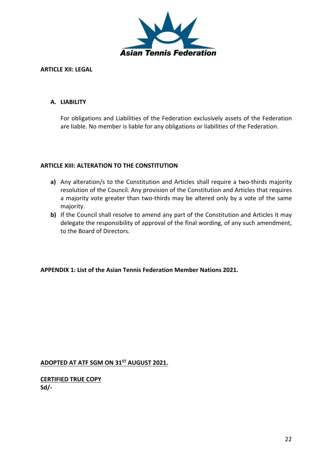

#### **ARTICLE XII: LEGAL**

#### **A. LIABILITY**

For obligations and Liabilities of the Federation exclusively assets of the Federation are liable. No member is liable for any obligations or liabilities of the Federation.

#### **ARTICLE XIII: ALTERATION TO THE CONSTITUTION**

- **a)** Any alteration/s to the Constitution and Articles shall require a two-thirds majority resolution of the Council. Any provision of the Constitution and Articles that requires a majority vote greater than two-thirds may be altered only by a vote of the same majority.
- **b)** If the Council shall resolve to amend any part of the Constitution and Articles it may delegate the responsibility of approval of the final wording, of any such amendment, to the Board of Directors.

#### **APPENDIX 1: List of the Asian Tennis Federation Member Nations 2021.**

**ADOPTED AT ATF SGM ON 31ST AUGUST 2021.**

**CERTIFIED TRUE COPY Sd/-**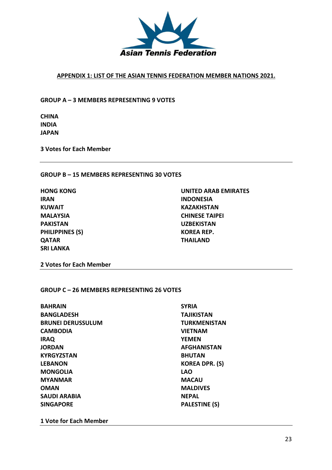

#### **APPENDIX 1: LIST OF THE ASIAN TENNIS FEDERATION MEMBER NATIONS 2021.**

**GROUP A – 3 MEMBERS REPRESENTING 9 VOTES**

**CHINA INDIA JAPAN**

**3 Votes for Each Member**

#### **GROUP B – 15 MEMBERS REPRESENTING 30 VOTES**

**IRAN INDONESIA KUWAIT KAZAKHSTAN PAKISTAN UZBEKISTAN PHILIPPINES (S) KOREA REP. QATAR THAILAND SRI LANKA**

**HONG KONG UNITED ARAB EMIRATES MALAYSIA CHINESE TAIPEI**

**2 Votes for Each Member**

#### **GROUP C – 26 MEMBERS REPRESENTING 26 VOTES**

| <b>SYRIA</b>          |  |
|-----------------------|--|
| <b>TAJIKISTAN</b>     |  |
| <b>TURKMENISTAN</b>   |  |
| <b>VIETNAM</b>        |  |
| <b>YEMEN</b>          |  |
| <b>AFGHANISTAN</b>    |  |
| <b>BHUTAN</b>         |  |
| <b>KOREA DPR. (S)</b> |  |
| <b>LAO</b>            |  |
| <b>MACAU</b>          |  |
| <b>MALDIVES</b>       |  |
| <b>NEPAL</b>          |  |
| <b>PALESTINE (S)</b>  |  |
|                       |  |

**1 Vote for Each Member**